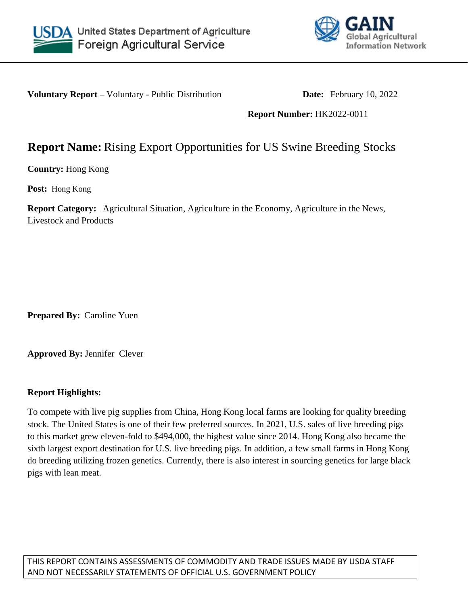



**Voluntary Report –** Voluntary - Public Distribution **Date:** February 10, 2022

**Report Number:** HK2022-0011

## **Report Name:** Rising Export Opportunities for US Swine Breeding Stocks

**Country:** Hong Kong

**Post:** Hong Kong

**Report Category:** Agricultural Situation, Agriculture in the Economy, Agriculture in the News, Livestock and Products

**Prepared By:** Caroline Yuen

**Approved By:** Jennifer Clever

## **Report Highlights:**

To compete with live pig supplies from China, Hong Kong local farms are looking for quality breeding stock. The United States is one of their few preferred sources. In 2021, U.S. sales of live breeding pigs to this market grew eleven-fold to \$494,000, the highest value since 2014. Hong Kong also became the sixth largest export destination for U.S. live breeding pigs. In addition, a few small farms in Hong Kong do breeding utilizing frozen genetics. Currently, there is also interest in sourcing genetics for large black pigs with lean meat.

THIS REPORT CONTAINS ASSESSMENTS OF COMMODITY AND TRADE ISSUES MADE BY USDA STAFF AND NOT NECESSARILY STATEMENTS OF OFFICIAL U.S. GOVERNMENT POLICY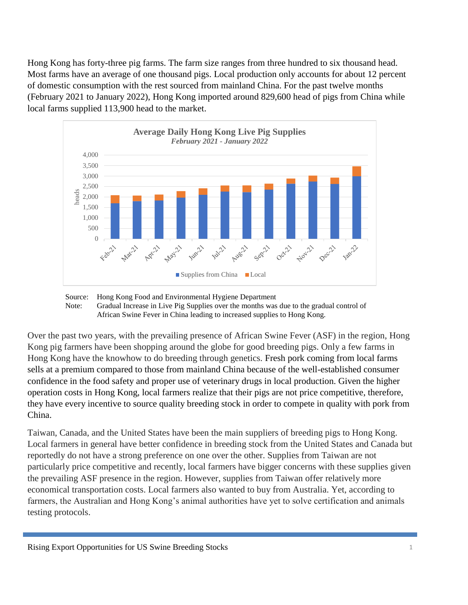Hong Kong has forty-three pig farms. The farm size ranges from three hundred to six thousand head. Most farms have an average of one thousand pigs. Local production only accounts for about 12 percent of domestic consumption with the rest sourced from mainland China. For the past twelve months (February 2021 to January 2022), Hong Kong imported around 829,600 head of pigs from China while local farms supplied 113,900 head to the market.





Over the past two years, with the prevailing presence of African Swine Fever (ASF) in the region, Hong Kong pig farmers have been shopping around the globe for good breeding pigs. Only a few farms in Hong Kong have the knowhow to do breeding through genetics. Fresh pork coming from local farms sells at a premium compared to those from mainland China because of the well-established consumer confidence in the food safety and proper use of veterinary drugs in local production. Given the higher operation costs in Hong Kong, local farmers realize that their pigs are not price competitive, therefore, they have every incentive to source quality breeding stock in order to compete in quality with pork from China.

Taiwan, Canada, and the United States have been the main suppliers of breeding pigs to Hong Kong. Local farmers in general have better confidence in breeding stock from the United States and Canada but reportedly do not have a strong preference on one over the other. Supplies from Taiwan are not particularly price competitive and recently, local farmers have bigger concerns with these supplies given the prevailing ASF presence in the region. However, supplies from Taiwan offer relatively more economical transportation costs. Local farmers also wanted to buy from Australia. Yet, according to farmers, the Australian and Hong Kong's animal authorities have yet to solve certification and animals testing protocols.